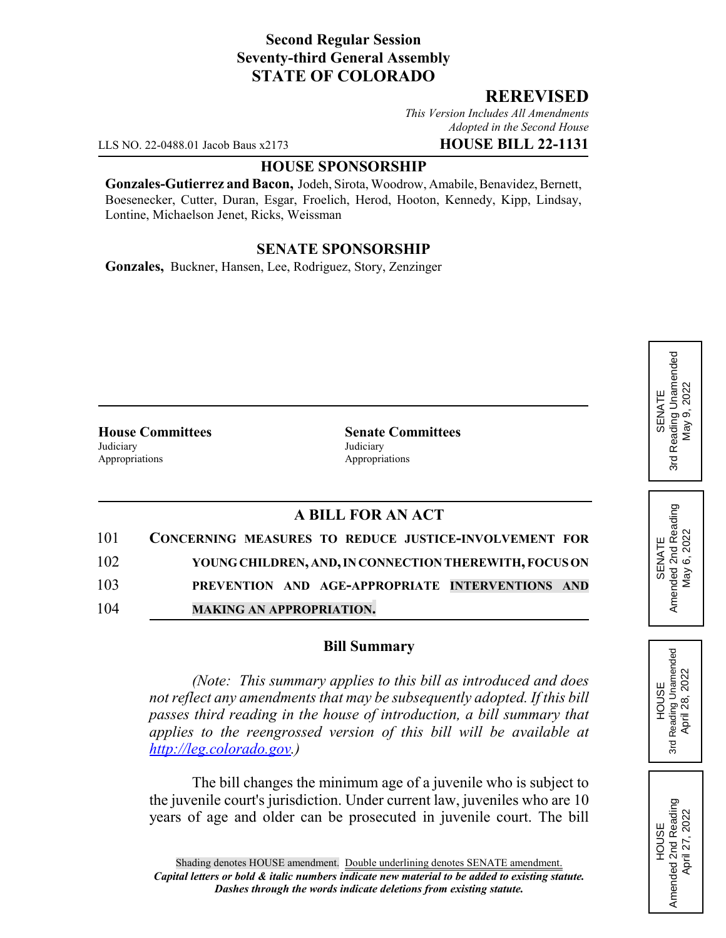## **Second Regular Session Seventy-third General Assembly STATE OF COLORADO**

### **REREVISED**

*This Version Includes All Amendments Adopted in the Second House*

LLS NO. 22-0488.01 Jacob Baus x2173 **HOUSE BILL 22-1131**

#### **HOUSE SPONSORSHIP**

**Gonzales-Gutierrez and Bacon,** Jodeh, Sirota, Woodrow, Amabile, Benavidez, Bernett, Boesenecker, Cutter, Duran, Esgar, Froelich, Herod, Hooton, Kennedy, Kipp, Lindsay, Lontine, Michaelson Jenet, Ricks, Weissman

# **SENATE SPONSORSHIP**

**Gonzales,** Buckner, Hansen, Lee, Rodriguez, Story, Zenzinger

**House Committees Senate Committees** Judiciary Judiciary Appropriations **Appropriations** 

# **A BILL FOR AN ACT**

| 101 | CONCERNING MEASURES TO REDUCE JUSTICE-INVOLVEMENT FOR  |
|-----|--------------------------------------------------------|
| 102 | YOUNG CHILDREN, AND, IN CONNECTION THEREWITH, FOCUS ON |
| 103 | PREVENTION AND AGE-APPROPRIATE INTERVENTIONS AND       |
| 104 | <b>MAKING AN APPROPRIATION.</b>                        |

#### **Bill Summary**

*(Note: This summary applies to this bill as introduced and does not reflect any amendments that may be subsequently adopted. If this bill passes third reading in the house of introduction, a bill summary that applies to the reengrossed version of this bill will be available at http://leg.colorado.gov.)*

The bill changes the minimum age of a juvenile who is subject to the juvenile court's jurisdiction. Under current law, juveniles who are 10 years of age and older can be prosecuted in juvenile court. The bill SENATE<br>Reading Unamended 3rd Reading Unamended  $9,2022$ May 9, 2022 May 3rd

SENATE<br>Amended 2nd Reading<br>May 6, 2022 Amended 2nd Reading May 6, 2022

**HOUSE** 3rd Reading Unamended April 28, 2022

Reading Unamended April 28, 2022

3rd

HOUSE<br>Amended 2nd Reading Amended 2nd Reading April 27, 2022

April 27, 2022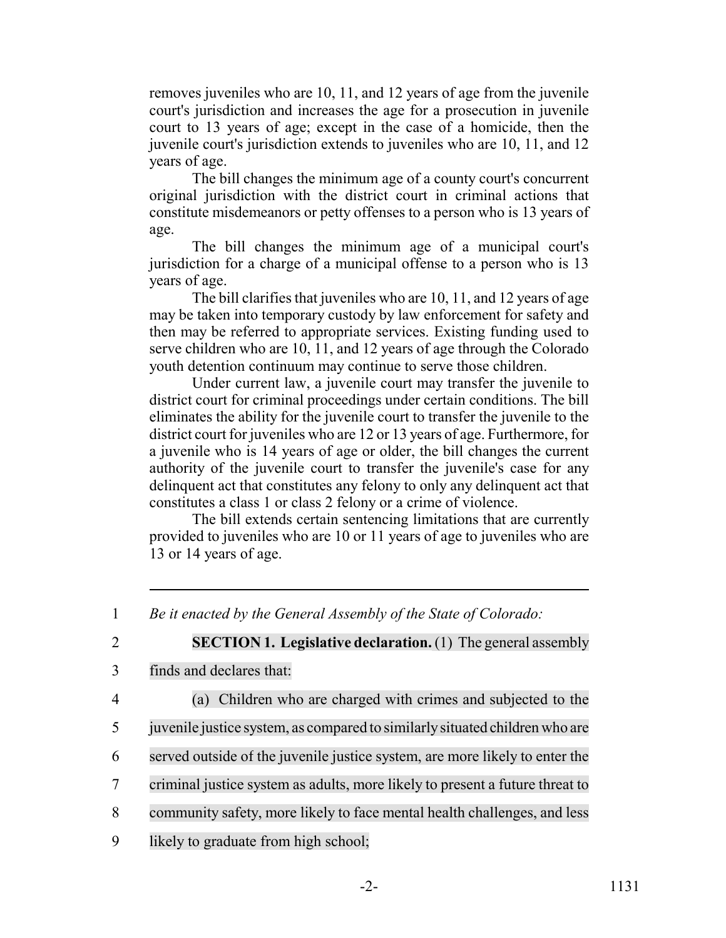removes juveniles who are 10, 11, and 12 years of age from the juvenile court's jurisdiction and increases the age for a prosecution in juvenile court to 13 years of age; except in the case of a homicide, then the juvenile court's jurisdiction extends to juveniles who are 10, 11, and 12 years of age.

The bill changes the minimum age of a county court's concurrent original jurisdiction with the district court in criminal actions that constitute misdemeanors or petty offenses to a person who is 13 years of age.

The bill changes the minimum age of a municipal court's jurisdiction for a charge of a municipal offense to a person who is 13 years of age.

The bill clarifies that juveniles who are 10, 11, and 12 years of age may be taken into temporary custody by law enforcement for safety and then may be referred to appropriate services. Existing funding used to serve children who are 10, 11, and 12 years of age through the Colorado youth detention continuum may continue to serve those children.

Under current law, a juvenile court may transfer the juvenile to district court for criminal proceedings under certain conditions. The bill eliminates the ability for the juvenile court to transfer the juvenile to the district court for juveniles who are 12 or 13 years of age. Furthermore, for a juvenile who is 14 years of age or older, the bill changes the current authority of the juvenile court to transfer the juvenile's case for any delinquent act that constitutes any felony to only any delinquent act that constitutes a class 1 or class 2 felony or a crime of violence.

The bill extends certain sentencing limitations that are currently provided to juveniles who are 10 or 11 years of age to juveniles who are 13 or 14 years of age.

1 *Be it enacted by the General Assembly of the State of Colorado:*

 **SECTION 1. Legislative declaration.** (1) The general assembly finds and declares that: (a) Children who are charged with crimes and subjected to the juvenile justice system, as compared to similarlysituated children who are served outside of the juvenile justice system, are more likely to enter the criminal justice system as adults, more likely to present a future threat to

8 community safety, more likely to face mental health challenges, and less

9 likely to graduate from high school;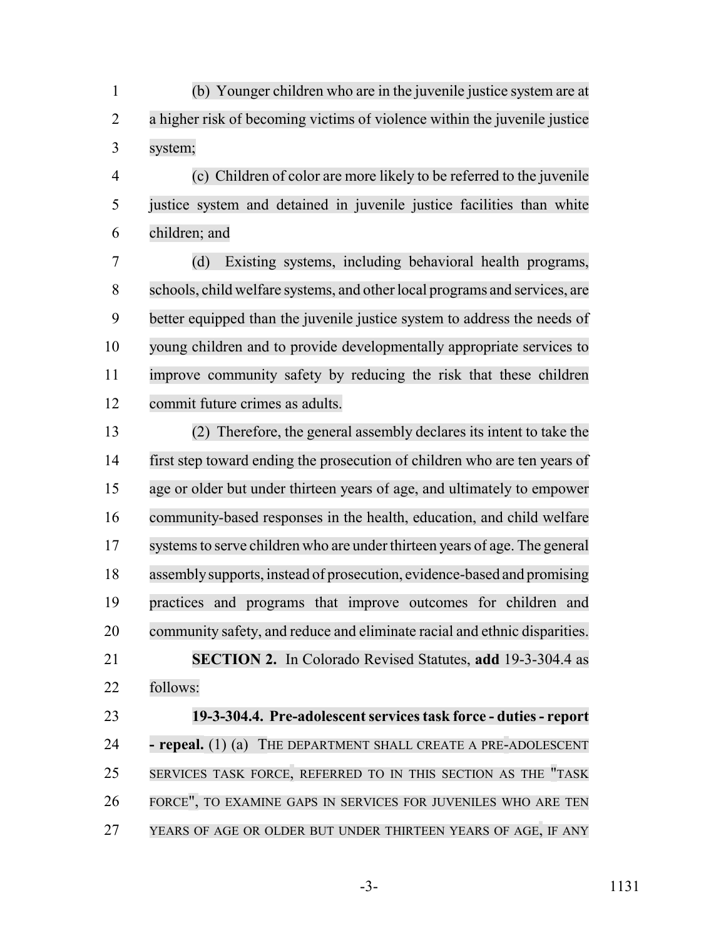(b) Younger children who are in the juvenile justice system are at a higher risk of becoming victims of violence within the juvenile justice system;

 (c) Children of color are more likely to be referred to the juvenile justice system and detained in juvenile justice facilities than white children; and

 (d) Existing systems, including behavioral health programs, schools, child welfare systems, and otherlocal programs and services, are better equipped than the juvenile justice system to address the needs of young children and to provide developmentally appropriate services to improve community safety by reducing the risk that these children commit future crimes as adults.

 (2) Therefore, the general assembly declares its intent to take the first step toward ending the prosecution of children who are ten years of age or older but under thirteen years of age, and ultimately to empower community-based responses in the health, education, and child welfare 17 systems to serve children who are under thirteen years of age. The general assemblysupports, instead of prosecution, evidence-based and promising practices and programs that improve outcomes for children and community safety, and reduce and eliminate racial and ethnic disparities. **SECTION 2.** In Colorado Revised Statutes, **add** 19-3-304.4 as follows:

 **19-3-304.4. Pre-adolescent services task force - duties - report - repeal.** (1) (a) THE DEPARTMENT SHALL CREATE A PRE-ADOLESCENT SERVICES TASK FORCE, REFERRED TO IN THIS SECTION AS THE "TASK FORCE", TO EXAMINE GAPS IN SERVICES FOR JUVENILES WHO ARE TEN YEARS OF AGE OR OLDER BUT UNDER THIRTEEN YEARS OF AGE, IF ANY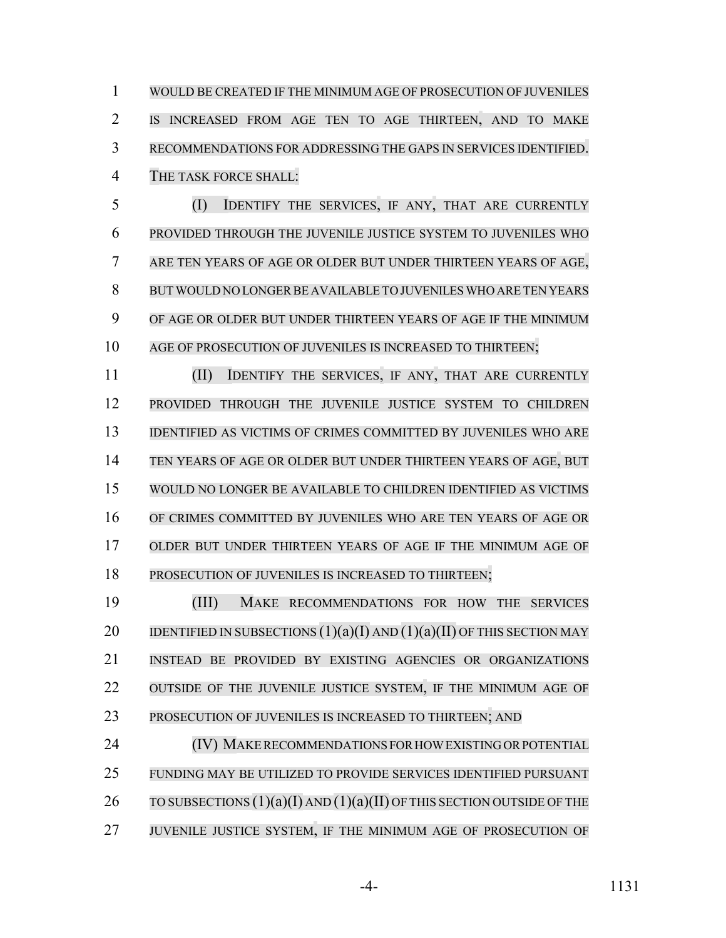WOULD BE CREATED IF THE MINIMUM AGE OF PROSECUTION OF JUVENILES IS INCREASED FROM AGE TEN TO AGE THIRTEEN, AND TO MAKE RECOMMENDATIONS FOR ADDRESSING THE GAPS IN SERVICES IDENTIFIED. THE TASK FORCE SHALL:

 (I) IDENTIFY THE SERVICES, IF ANY, THAT ARE CURRENTLY PROVIDED THROUGH THE JUVENILE JUSTICE SYSTEM TO JUVENILES WHO ARE TEN YEARS OF AGE OR OLDER BUT UNDER THIRTEEN YEARS OF AGE, BUTWOULD NO LONGERBE AVAILABLE TO JUVENILES WHO ARE TEN YEARS OF AGE OR OLDER BUT UNDER THIRTEEN YEARS OF AGE IF THE MINIMUM 10 AGE OF PROSECUTION OF JUVENILES IS INCREASED TO THIRTEEN;

 (II) IDENTIFY THE SERVICES, IF ANY, THAT ARE CURRENTLY PROVIDED THROUGH THE JUVENILE JUSTICE SYSTEM TO CHILDREN IDENTIFIED AS VICTIMS OF CRIMES COMMITTED BY JUVENILES WHO ARE TEN YEARS OF AGE OR OLDER BUT UNDER THIRTEEN YEARS OF AGE, BUT WOULD NO LONGER BE AVAILABLE TO CHILDREN IDENTIFIED AS VICTIMS OF CRIMES COMMITTED BY JUVENILES WHO ARE TEN YEARS OF AGE OR OLDER BUT UNDER THIRTEEN YEARS OF AGE IF THE MINIMUM AGE OF PROSECUTION OF JUVENILES IS INCREASED TO THIRTEEN;

 (III) MAKE RECOMMENDATIONS FOR HOW THE SERVICES 20 IDENTIFIED IN SUBSECTIONS  $(1)(a)(I)$  AND  $(1)(a)(II)$  OF THIS SECTION MAY INSTEAD BE PROVIDED BY EXISTING AGENCIES OR ORGANIZATIONS 22 OUTSIDE OF THE JUVENILE JUSTICE SYSTEM, IF THE MINIMUM AGE OF 23 PROSECUTION OF JUVENILES IS INCREASED TO THIRTEEN; AND

 (IV) MAKERECOMMENDATIONS FORHOWEXISTINGORPOTENTIAL FUNDING MAY BE UTILIZED TO PROVIDE SERVICES IDENTIFIED PURSUANT 26 TO SUBSECTIONS  $(1)(a)(I)$  AND  $(1)(a)(II)$  OF THIS SECTION OUTSIDE OF THE 27 JUVENILE JUSTICE SYSTEM, IF THE MINIMUM AGE OF PROSECUTION OF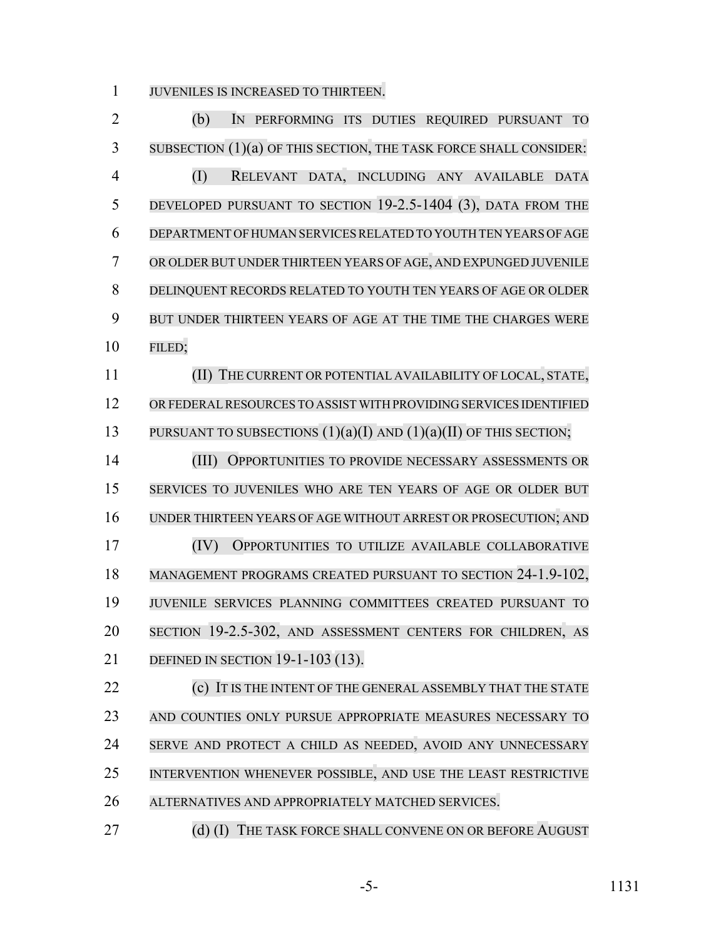JUVENILES IS INCREASED TO THIRTEEN.

 (b) IN PERFORMING ITS DUTIES REQUIRED PURSUANT TO SUBSECTION (1)(a) OF THIS SECTION, THE TASK FORCE SHALL CONSIDER: (I) RELEVANT DATA, INCLUDING ANY AVAILABLE DATA 5 DEVELOPED PURSUANT TO SECTION 19-2.5-1404 (3), DATA FROM THE DEPARTMENT OFHUMAN SERVICESRELATED TO YOUTH TEN YEARS OF AGE OR OLDER BUT UNDER THIRTEEN YEARS OF AGE, AND EXPUNGED JUVENILE DELINQUENT RECORDS RELATED TO YOUTH TEN YEARS OF AGE OR OLDER BUT UNDER THIRTEEN YEARS OF AGE AT THE TIME THE CHARGES WERE FILED; (II) THE CURRENT OR POTENTIAL AVAILABILITY OF LOCAL, STATE, ORFEDERALRESOURCES TO ASSIST WITH PROVIDING SERVICES IDENTIFIED 13 PURSUANT TO SUBSECTIONS  $(1)(a)(I)$  AND  $(1)(a)(II)$  OF THIS SECTION; (III) OPPORTUNITIES TO PROVIDE NECESSARY ASSESSMENTS OR SERVICES TO JUVENILES WHO ARE TEN YEARS OF AGE OR OLDER BUT UNDER THIRTEEN YEARS OF AGE WITHOUT ARREST OR PROSECUTION; AND (IV) OPPORTUNITIES TO UTILIZE AVAILABLE COLLABORATIVE MANAGEMENT PROGRAMS CREATED PURSUANT TO SECTION 24-1.9-102, JUVENILE SERVICES PLANNING COMMITTEES CREATED PURSUANT TO SECTION 19-2.5-302, AND ASSESSMENT CENTERS FOR CHILDREN, AS DEFINED IN SECTION 19-1-103 (13). **(c)** IT IS THE INTENT OF THE GENERAL ASSEMBLY THAT THE STATE AND COUNTIES ONLY PURSUE APPROPRIATE MEASURES NECESSARY TO 24 SERVE AND PROTECT A CHILD AS NEEDED, AVOID ANY UNNECESSARY INTERVENTION WHENEVER POSSIBLE, AND USE THE LEAST RESTRICTIVE ALTERNATIVES AND APPROPRIATELY MATCHED SERVICES.

27 (d) (I) THE TASK FORCE SHALL CONVENE ON OR BEFORE AUGUST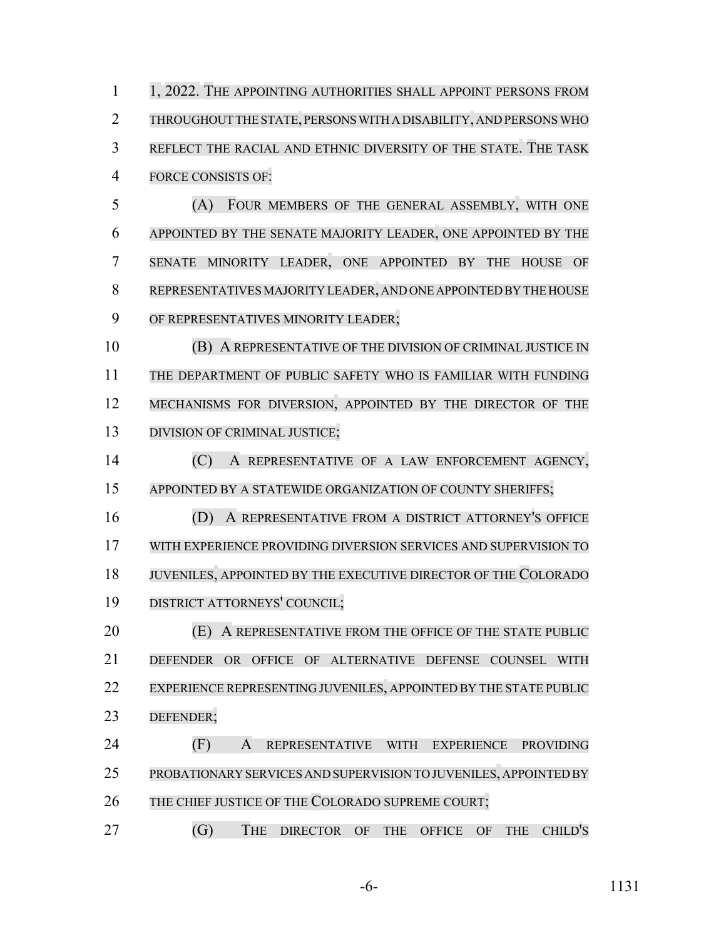1 1, 2022. THE APPOINTING AUTHORITIES SHALL APPOINT PERSONS FROM THROUGHOUT THE STATE, PERSONS WITH A DISABILITY, AND PERSONSWHO REFLECT THE RACIAL AND ETHNIC DIVERSITY OF THE STATE. THE TASK FORCE CONSISTS OF:

 (A) FOUR MEMBERS OF THE GENERAL ASSEMBLY, WITH ONE APPOINTED BY THE SENATE MAJORITY LEADER, ONE APPOINTED BY THE SENATE MINORITY LEADER, ONE APPOINTED BY THE HOUSE OF REPRESENTATIVES MAJORITY LEADER, AND ONE APPOINTED BY THE HOUSE OF REPRESENTATIVES MINORITY LEADER;

 (B) A REPRESENTATIVE OF THE DIVISION OF CRIMINAL JUSTICE IN THE DEPARTMENT OF PUBLIC SAFETY WHO IS FAMILIAR WITH FUNDING 12 MECHANISMS FOR DIVERSION, APPOINTED BY THE DIRECTOR OF THE 13 DIVISION OF CRIMINAL JUSTICE;

 (C) A REPRESENTATIVE OF A LAW ENFORCEMENT AGENCY, 15 APPOINTED BY A STATEWIDE ORGANIZATION OF COUNTY SHERIFFS;

 (D) A REPRESENTATIVE FROM A DISTRICT ATTORNEY'S OFFICE WITH EXPERIENCE PROVIDING DIVERSION SERVICES AND SUPERVISION TO JUVENILES, APPOINTED BY THE EXECUTIVE DIRECTOR OF THE COLORADO DISTRICT ATTORNEYS' COUNCIL;

 (E) A REPRESENTATIVE FROM THE OFFICE OF THE STATE PUBLIC DEFENDER OR OFFICE OF ALTERNATIVE DEFENSE COUNSEL WITH 22 EXPERIENCE REPRESENTING JUVENILES, APPOINTED BY THE STATE PUBLIC DEFENDER;

 (F) A REPRESENTATIVE WITH EXPERIENCE PROVIDING PROBATIONARY SERVICES AND SUPERVISION TO JUVENILES, APPOINTED BY THE CHIEF JUSTICE OF THE COLORADO SUPREME COURT;

(G) THE DIRECTOR OF THE OFFICE OF THE CHILD'S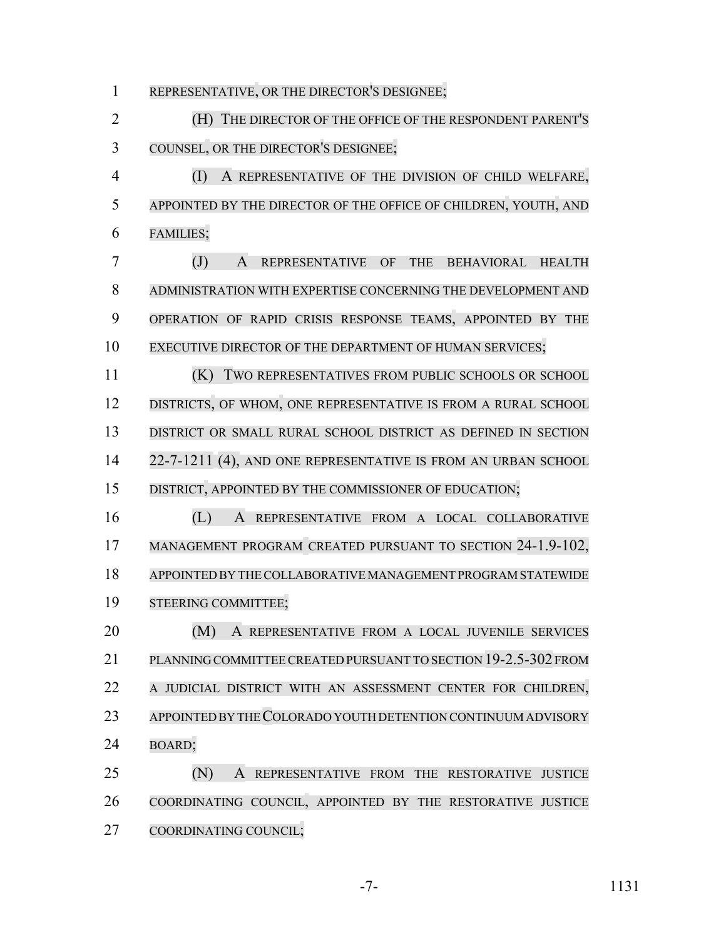REPRESENTATIVE, OR THE DIRECTOR'S DESIGNEE;

 (H) THE DIRECTOR OF THE OFFICE OF THE RESPONDENT PARENT'S COUNSEL, OR THE DIRECTOR'S DESIGNEE;

 (I) A REPRESENTATIVE OF THE DIVISION OF CHILD WELFARE, APPOINTED BY THE DIRECTOR OF THE OFFICE OF CHILDREN, YOUTH, AND FAMILIES;

 (J) A REPRESENTATIVE OF THE BEHAVIORAL HEALTH ADMINISTRATION WITH EXPERTISE CONCERNING THE DEVELOPMENT AND OPERATION OF RAPID CRISIS RESPONSE TEAMS, APPOINTED BY THE 10 EXECUTIVE DIRECTOR OF THE DEPARTMENT OF HUMAN SERVICES;

 (K) TWO REPRESENTATIVES FROM PUBLIC SCHOOLS OR SCHOOL 12 DISTRICTS, OF WHOM, ONE REPRESENTATIVE IS FROM A RURAL SCHOOL DISTRICT OR SMALL RURAL SCHOOL DISTRICT AS DEFINED IN SECTION 22-7-1211 (4), AND ONE REPRESENTATIVE IS FROM AN URBAN SCHOOL DISTRICT, APPOINTED BY THE COMMISSIONER OF EDUCATION;

 (L) A REPRESENTATIVE FROM A LOCAL COLLABORATIVE 17 MANAGEMENT PROGRAM CREATED PURSUANT TO SECTION 24-1.9-102, APPOINTED BY THECOLLABORATIVE MANAGEMENT PROGRAMSTATEWIDE STEERING COMMITTEE;

 (M) A REPRESENTATIVE FROM A LOCAL JUVENILE SERVICES PLANNING COMMITTEECREATED PURSUANT TO SECTION 19-2.5-302 FROM A JUDICIAL DISTRICT WITH AN ASSESSMENT CENTER FOR CHILDREN, APPOINTED BY THE COLORADO YOUTH DETENTION CONTINUUM ADVISORY BOARD;

 (N) A REPRESENTATIVE FROM THE RESTORATIVE JUSTICE COORDINATING COUNCIL, APPOINTED BY THE RESTORATIVE JUSTICE COORDINATING COUNCIL;

-7- 1131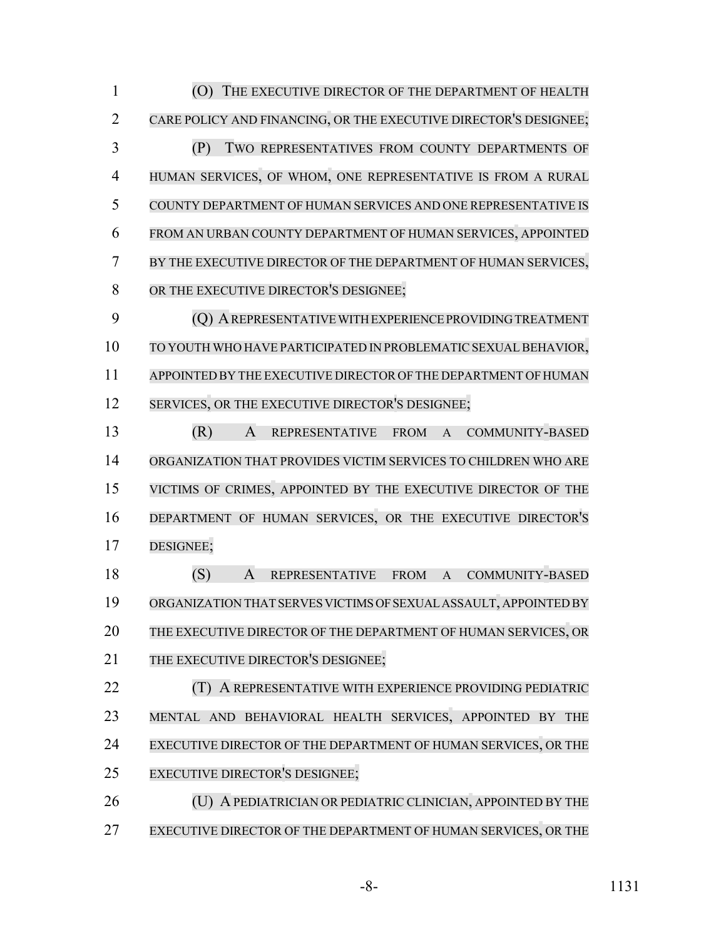(O) THE EXECUTIVE DIRECTOR OF THE DEPARTMENT OF HEALTH CARE POLICY AND FINANCING, OR THE EXECUTIVE DIRECTOR'S DESIGNEE; (P) TWO REPRESENTATIVES FROM COUNTY DEPARTMENTS OF HUMAN SERVICES, OF WHOM, ONE REPRESENTATIVE IS FROM A RURAL COUNTY DEPARTMENT OF HUMAN SERVICES AND ONE REPRESENTATIVE IS FROM AN URBAN COUNTY DEPARTMENT OF HUMAN SERVICES, APPOINTED BY THE EXECUTIVE DIRECTOR OF THE DEPARTMENT OF HUMAN SERVICES, 8 OR THE EXECUTIVE DIRECTOR'S DESIGNEE; (Q) AREPRESENTATIVE WITH EXPERIENCE PROVIDING TREATMENT 10 TO YOUTH WHO HAVE PARTICIPATED IN PROBLEMATIC SEXUAL BEHAVIOR, APPOINTED BY THE EXECUTIVE DIRECTOR OF THE DEPARTMENT OFHUMAN 12 SERVICES, OR THE EXECUTIVE DIRECTOR'S DESIGNEE; (R) A REPRESENTATIVE FROM A COMMUNITY-BASED ORGANIZATION THAT PROVIDES VICTIM SERVICES TO CHILDREN WHO ARE VICTIMS OF CRIMES, APPOINTED BY THE EXECUTIVE DIRECTOR OF THE DEPARTMENT OF HUMAN SERVICES, OR THE EXECUTIVE DIRECTOR'S DESIGNEE; (S) A REPRESENTATIVE FROM A COMMUNITY-BASED ORGANIZATION THAT SERVES VICTIMS OF SEXUAL ASSAULT, APPOINTED BY THE EXECUTIVE DIRECTOR OF THE DEPARTMENT OF HUMAN SERVICES, OR 21 THE EXECUTIVE DIRECTOR'S DESIGNEE: (T) A REPRESENTATIVE WITH EXPERIENCE PROVIDING PEDIATRIC MENTAL AND BEHAVIORAL HEALTH SERVICES, APPOINTED BY THE EXECUTIVE DIRECTOR OF THE DEPARTMENT OF HUMAN SERVICES, OR THE EXECUTIVE DIRECTOR'S DESIGNEE; 26 (U) A PEDIATRICIAN OR PEDIATRIC CLINICIAN, APPOINTED BY THE EXECUTIVE DIRECTOR OF THE DEPARTMENT OF HUMAN SERVICES, OR THE

-8- 1131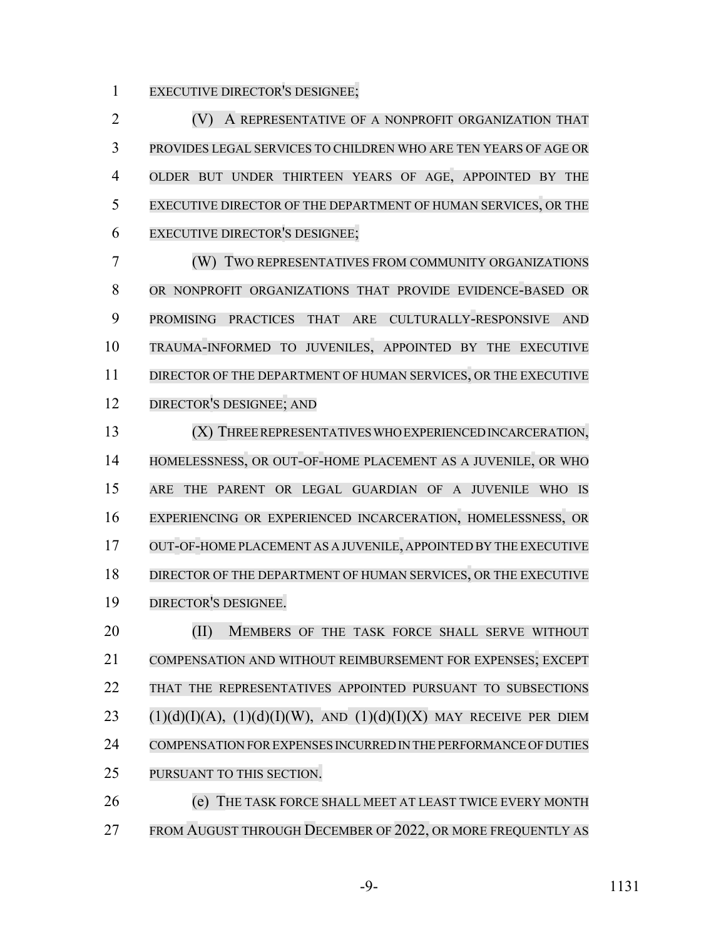EXECUTIVE DIRECTOR'S DESIGNEE;

 (V) A REPRESENTATIVE OF A NONPROFIT ORGANIZATION THAT PROVIDES LEGAL SERVICES TO CHILDREN WHO ARE TEN YEARS OF AGE OR OLDER BUT UNDER THIRTEEN YEARS OF AGE, APPOINTED BY THE EXECUTIVE DIRECTOR OF THE DEPARTMENT OF HUMAN SERVICES, OR THE EXECUTIVE DIRECTOR'S DESIGNEE;

 (W) TWO REPRESENTATIVES FROM COMMUNITY ORGANIZATIONS OR NONPROFIT ORGANIZATIONS THAT PROVIDE EVIDENCE-BASED OR PROMISING PRACTICES THAT ARE CULTURALLY-RESPONSIVE AND TRAUMA-INFORMED TO JUVENILES, APPOINTED BY THE EXECUTIVE DIRECTOR OF THE DEPARTMENT OF HUMAN SERVICES, OR THE EXECUTIVE DIRECTOR'S DESIGNEE; AND

 (X) THREE REPRESENTATIVES WHO EXPERIENCED INCARCERATION, HOMELESSNESS, OR OUT-OF-HOME PLACEMENT AS A JUVENILE, OR WHO ARE THE PARENT OR LEGAL GUARDIAN OF A JUVENILE WHO IS EXPERIENCING OR EXPERIENCED INCARCERATION, HOMELESSNESS, OR OUT-OF-HOME PLACEMENT AS A JUVENILE, APPOINTED BY THE EXECUTIVE DIRECTOR OF THE DEPARTMENT OF HUMAN SERVICES, OR THE EXECUTIVE DIRECTOR'S DESIGNEE.

20 (II) MEMBERS OF THE TASK FORCE SHALL SERVE WITHOUT COMPENSATION AND WITHOUT REIMBURSEMENT FOR EXPENSES; EXCEPT THAT THE REPRESENTATIVES APPOINTED PURSUANT TO SUBSECTIONS  $(1)(d)(I)(A)$ ,  $(1)(d)(I)(W)$ , AND  $(1)(d)(I)(X)$  MAY RECEIVE PER DIEM COMPENSATION FOREXPENSES INCURRED IN THE PERFORMANCE OF DUTIES PURSUANT TO THIS SECTION.

 (e) THE TASK FORCE SHALL MEET AT LEAST TWICE EVERY MONTH 27 FROM AUGUST THROUGH DECEMBER OF 2022, OR MORE FREQUENTLY AS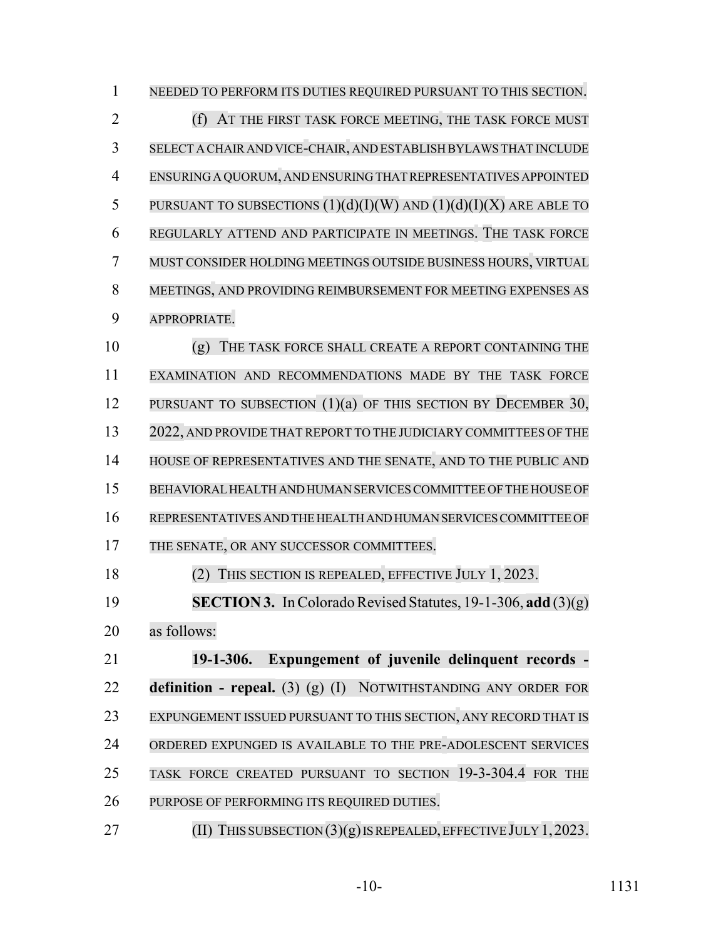NEEDED TO PERFORM ITS DUTIES REQUIRED PURSUANT TO THIS SECTION. (f) AT THE FIRST TASK FORCE MEETING, THE TASK FORCE MUST SELECT A CHAIR AND VICE-CHAIR, AND ESTABLISH BYLAWS THAT INCLUDE ENSURING A QUORUM, AND ENSURING THAT REPRESENTATIVES APPOINTED 5 PURSUANT TO SUBSECTIONS  $(1)(d)(I)(W)$  and  $(1)(d)(I)(X)$  are able to REGULARLY ATTEND AND PARTICIPATE IN MEETINGS. THE TASK FORCE MUST CONSIDER HOLDING MEETINGS OUTSIDE BUSINESS HOURS, VIRTUAL MEETINGS, AND PROVIDING REIMBURSEMENT FOR MEETING EXPENSES AS APPROPRIATE. (g) THE TASK FORCE SHALL CREATE A REPORT CONTAINING THE EXAMINATION AND RECOMMENDATIONS MADE BY THE TASK FORCE 12 PURSUANT TO SUBSECTION (1)(a) OF THIS SECTION BY DECEMBER 30, 2022, AND PROVIDE THAT REPORT TO THE JUDICIARY COMMITTEES OF THE HOUSE OF REPRESENTATIVES AND THE SENATE, AND TO THE PUBLIC AND BEHAVIORAL HEALTH AND HUMAN SERVICES COMMITTEE OF THE HOUSE OF REPRESENTATIVES AND THE HEALTH AND HUMAN SERVICES COMMITTEE OF 17 THE SENATE, OR ANY SUCCESSOR COMMITTEES. (2) THIS SECTION IS REPEALED, EFFECTIVE JULY 1, 2023. **SECTION 3.** In Colorado Revised Statutes, 19-1-306, **add** (3)(g) as follows: **19-1-306. Expungement of juvenile delinquent records - definition - repeal.** (3) (g) (I) NOTWITHSTANDING ANY ORDER FOR EXPUNGEMENT ISSUED PURSUANT TO THIS SECTION, ANY RECORD THAT IS ORDERED EXPUNGED IS AVAILABLE TO THE PRE-ADOLESCENT SERVICES TASK FORCE CREATED PURSUANT TO SECTION 19-3-304.4 FOR THE PURPOSE OF PERFORMING ITS REQUIRED DUTIES.

27 (II) THIS SUBSECTION  $(3)(g)$  IS REPEALED, EFFECTIVE JULY 1, 2023.